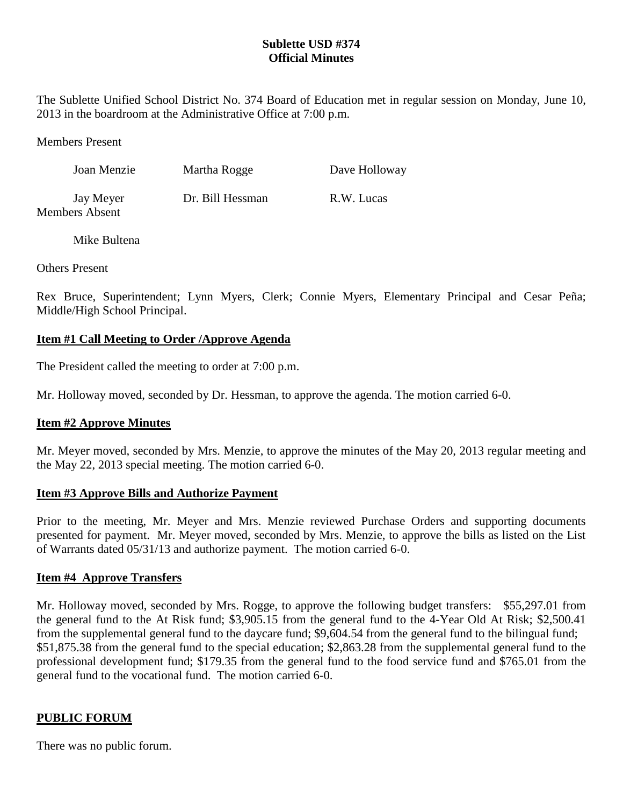# **Sublette USD #374 Official Minutes**

The Sublette Unified School District No. 374 Board of Education met in regular session on Monday, June 10, 2013 in the boardroom at the Administrative Office at 7:00 p.m.

Members Present

| Joan Menzie                 | Martha Rogge     | Dave Holloway |
|-----------------------------|------------------|---------------|
| Jay Meyer<br>Members Absent | Dr. Bill Hessman | R.W. Lucas    |

Mike Bultena

Others Present

Rex Bruce, Superintendent; Lynn Myers, Clerk; Connie Myers, Elementary Principal and Cesar Peña; Middle/High School Principal.

# **Item #1 Call Meeting to Order /Approve Agenda**

The President called the meeting to order at 7:00 p.m.

Mr. Holloway moved, seconded by Dr. Hessman, to approve the agenda. The motion carried 6-0.

# **Item #2 Approve Minutes**

Mr. Meyer moved, seconded by Mrs. Menzie, to approve the minutes of the May 20, 2013 regular meeting and the May 22, 2013 special meeting. The motion carried 6-0.

# **Item #3 Approve Bills and Authorize Payment**

Prior to the meeting, Mr. Meyer and Mrs. Menzie reviewed Purchase Orders and supporting documents presented for payment. Mr. Meyer moved, seconded by Mrs. Menzie, to approve the bills as listed on the List of Warrants dated 05/31/13 and authorize payment. The motion carried 6-0.

# **Item #4 Approve Transfers**

Mr. Holloway moved, seconded by Mrs. Rogge, to approve the following budget transfers: \$55,297.01 from the general fund to the At Risk fund; \$3,905.15 from the general fund to the 4-Year Old At Risk; \$2,500.41 from the supplemental general fund to the daycare fund; \$9,604.54 from the general fund to the bilingual fund; \$51,875.38 from the general fund to the special education; \$2,863.28 from the supplemental general fund to the professional development fund; \$179.35 from the general fund to the food service fund and \$765.01 from the general fund to the vocational fund. The motion carried 6-0.

# **PUBLIC FORUM**

There was no public forum.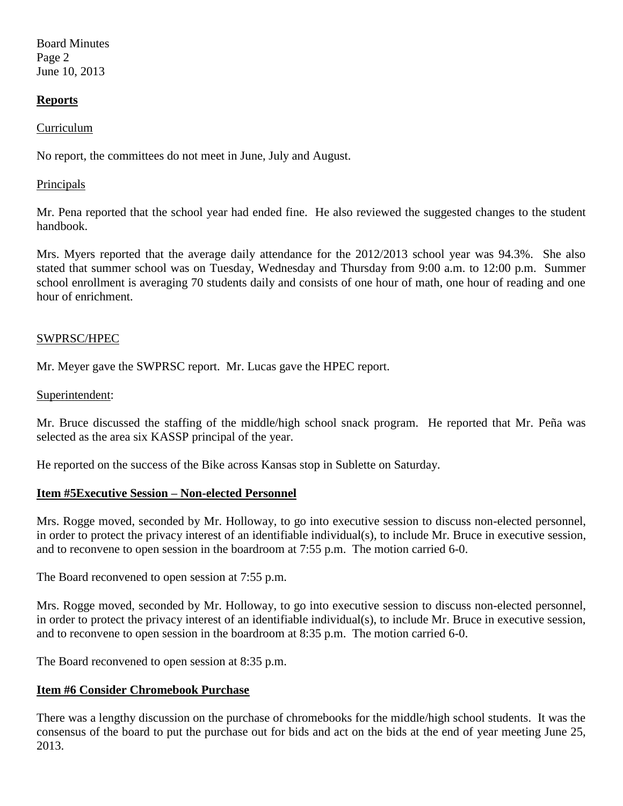Board Minutes Page 2 June 10, 2013

### **Reports**

#### Curriculum

No report, the committees do not meet in June, July and August.

#### Principals

Mr. Pena reported that the school year had ended fine. He also reviewed the suggested changes to the student handbook.

Mrs. Myers reported that the average daily attendance for the 2012/2013 school year was 94.3%. She also stated that summer school was on Tuesday, Wednesday and Thursday from 9:00 a.m. to 12:00 p.m. Summer school enrollment is averaging 70 students daily and consists of one hour of math, one hour of reading and one hour of enrichment.

### SWPRSC/HPEC

Mr. Meyer gave the SWPRSC report. Mr. Lucas gave the HPEC report.

#### Superintendent:

Mr. Bruce discussed the staffing of the middle/high school snack program. He reported that Mr. Peña was selected as the area six KASSP principal of the year.

He reported on the success of the Bike across Kansas stop in Sublette on Saturday.

### **Item #5Executive Session – Non-elected Personnel**

Mrs. Rogge moved, seconded by Mr. Holloway, to go into executive session to discuss non-elected personnel, in order to protect the privacy interest of an identifiable individual(s), to include Mr. Bruce in executive session, and to reconvene to open session in the boardroom at 7:55 p.m. The motion carried 6-0.

The Board reconvened to open session at 7:55 p.m.

Mrs. Rogge moved, seconded by Mr. Holloway, to go into executive session to discuss non-elected personnel, in order to protect the privacy interest of an identifiable individual(s), to include Mr. Bruce in executive session, and to reconvene to open session in the boardroom at 8:35 p.m. The motion carried 6-0.

The Board reconvened to open session at 8:35 p.m.

### **Item #6 Consider Chromebook Purchase**

There was a lengthy discussion on the purchase of chromebooks for the middle/high school students. It was the consensus of the board to put the purchase out for bids and act on the bids at the end of year meeting June 25, 2013.